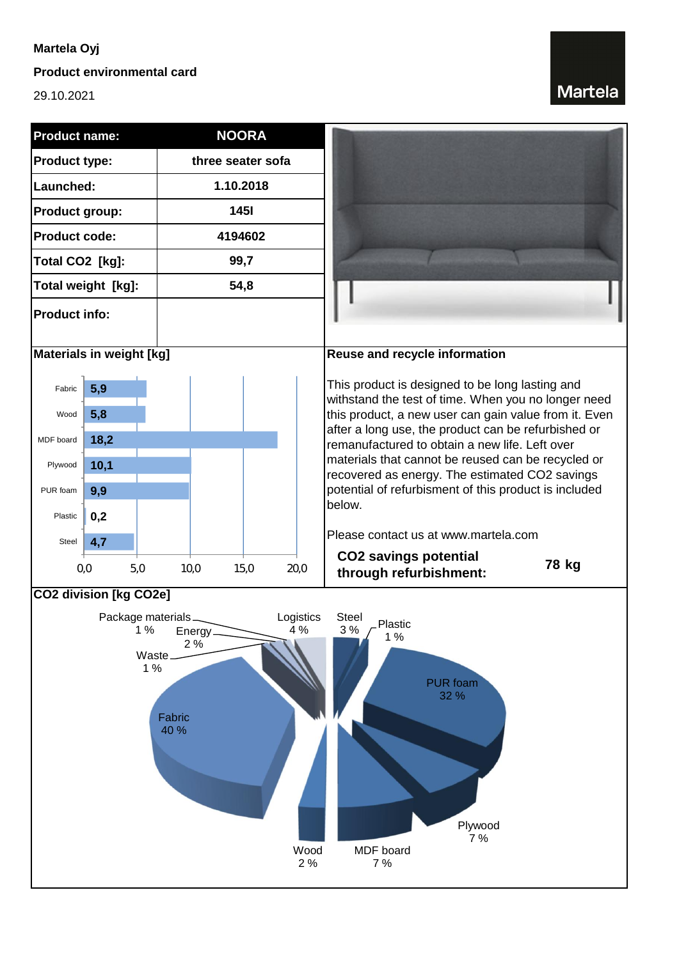### **Martela Oyj**

#### **Product environmental card**

29.10.2021

# **Martela**